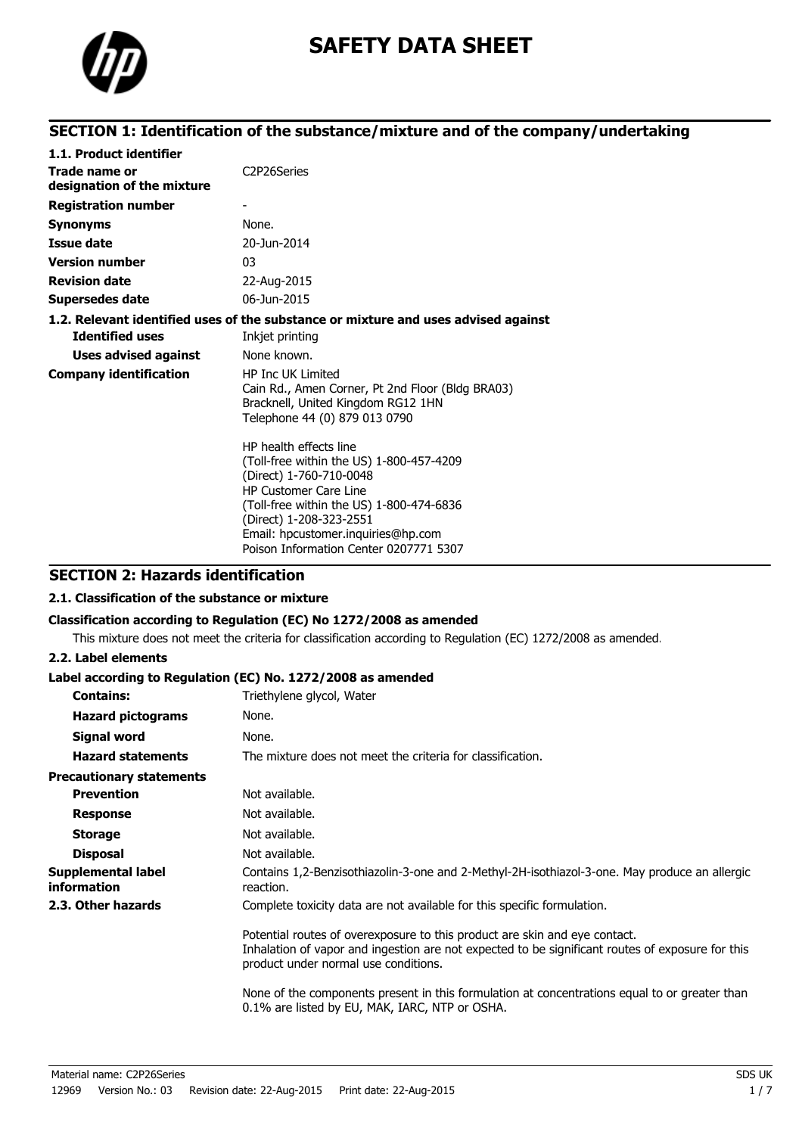

# **SAFETY DATA SHEET**

## **SECTION 1: Identification of the substance/mixture and of the company/undertaking**

| 1.1. Product identifier                     |                                                                                                                                                                                                                                                                                      |
|---------------------------------------------|--------------------------------------------------------------------------------------------------------------------------------------------------------------------------------------------------------------------------------------------------------------------------------------|
| Trade name or<br>designation of the mixture | C <sub>2</sub> P <sub>26</sub> Series                                                                                                                                                                                                                                                |
| <b>Registration number</b>                  |                                                                                                                                                                                                                                                                                      |
| <b>Synonyms</b>                             | None.                                                                                                                                                                                                                                                                                |
| Issue date                                  | 20-Jun-2014                                                                                                                                                                                                                                                                          |
| <b>Version number</b>                       | 03                                                                                                                                                                                                                                                                                   |
| <b>Revision date</b>                        | 22-Aug-2015                                                                                                                                                                                                                                                                          |
| <b>Supersedes date</b>                      | 06-Jun-2015                                                                                                                                                                                                                                                                          |
|                                             | 1.2. Relevant identified uses of the substance or mixture and uses advised against                                                                                                                                                                                                   |
| <b>Identified uses</b>                      | Inkjet printing                                                                                                                                                                                                                                                                      |
| <b>Uses advised against</b>                 | None known.                                                                                                                                                                                                                                                                          |
| <b>Company identification</b>               | <b>HP Inc UK Limited</b><br>Cain Rd., Amen Corner, Pt 2nd Floor (Bldg BRA03)<br>Bracknell, United Kingdom RG12 1HN<br>Telephone 44 (0) 879 013 0790                                                                                                                                  |
|                                             | HP health effects line<br>(Toll-free within the US) 1-800-457-4209<br>(Direct) 1-760-710-0048<br><b>HP Customer Care Line</b><br>(Toll-free within the US) 1-800-474-6836<br>(Direct) 1-208-323-2551<br>Email: hpcustomer.inquiries@hp.com<br>Poison Information Center 0207771 5307 |

## **SECTION 2: Hazards identification**

## **2.1. Classification of the substance or mixture**

### **Classification according to Regulation (EC) No 1272/2008 as amended**

This mixture does not meet the criteria for classification according to Regulation (EC) 1272/2008 as amended.

## **2.2. Label elements**

## **Label according to Regulation (EC) No. 1272/2008 as amended**

| <b>Contains:</b>                         | Triethylene glycol, Water                                                                                                                                                                                              |
|------------------------------------------|------------------------------------------------------------------------------------------------------------------------------------------------------------------------------------------------------------------------|
| <b>Hazard pictograms</b>                 | None.                                                                                                                                                                                                                  |
| Signal word                              | None.                                                                                                                                                                                                                  |
| <b>Hazard statements</b>                 | The mixture does not meet the criteria for classification.                                                                                                                                                             |
| <b>Precautionary statements</b>          |                                                                                                                                                                                                                        |
| <b>Prevention</b>                        | Not available.                                                                                                                                                                                                         |
| <b>Response</b>                          | Not available.                                                                                                                                                                                                         |
| <b>Storage</b>                           | Not available.                                                                                                                                                                                                         |
| <b>Disposal</b>                          | Not available.                                                                                                                                                                                                         |
| Supplemental label<br><i>information</i> | Contains 1,2-Benzisothiazolin-3-one and 2-Methyl-2H-isothiazol-3-one. May produce an allergic<br>reaction.                                                                                                             |
| 2.3. Other hazards                       | Complete toxicity data are not available for this specific formulation.                                                                                                                                                |
|                                          | Potential routes of overexposure to this product are skin and eye contact.<br>Inhalation of vapor and ingestion are not expected to be significant routes of exposure for this<br>product under normal use conditions. |
|                                          | None of the components present in this formulation at concentrations equal to or greater than<br>0.1% are listed by EU, MAK, IARC, NTP or OSHA.                                                                        |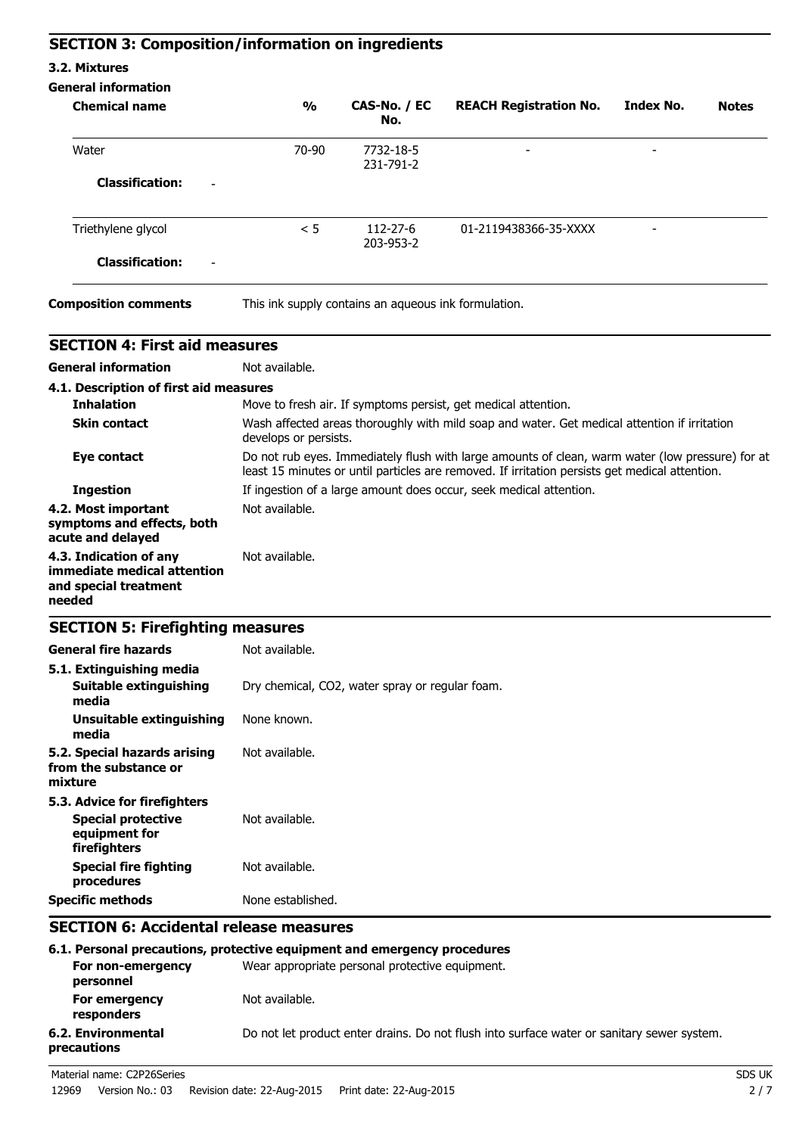## **SECTION 3: Composition/information on ingredients**

## **3.2. Mixtures**

### **General information**

| <b>Chemical name</b>                               | $\frac{1}{2}$ | CAS-No. / EC<br>No.                                  | <b>REACH Registration No.</b> | <b>Index No.</b>         | <b>Notes</b> |
|----------------------------------------------------|---------------|------------------------------------------------------|-------------------------------|--------------------------|--------------|
| Water                                              | 70-90         | 7732-18-5<br>231-791-2                               | $\overline{\phantom{a}}$      | $\overline{\phantom{a}}$ |              |
| <b>Classification:</b><br>Ξ.                       |               |                                                      |                               |                          |              |
| Triethylene glycol                                 | < 5           | 112-27-6<br>203-953-2                                | 01-2119438366-35-XXXX         | $\overline{\phantom{0}}$ |              |
| <b>Classification:</b><br>$\overline{\phantom{a}}$ |               |                                                      |                               |                          |              |
| <b>Composition comments</b>                        |               | This ink supply contains an aqueous ink formulation. |                               |                          |              |

| <b>SECTION 4: First aid measures</b>                                                       |                                                                                                                                                                                                    |
|--------------------------------------------------------------------------------------------|----------------------------------------------------------------------------------------------------------------------------------------------------------------------------------------------------|
| <b>General information</b>                                                                 | Not available.                                                                                                                                                                                     |
| 4.1. Description of first aid measures                                                     |                                                                                                                                                                                                    |
| <b>Inhalation</b>                                                                          | Move to fresh air. If symptoms persist, get medical attention.                                                                                                                                     |
| <b>Skin contact</b>                                                                        | Wash affected areas thoroughly with mild soap and water. Get medical attention if irritation<br>develops or persists.                                                                              |
| <b>Eye contact</b>                                                                         | Do not rub eyes. Immediately flush with large amounts of clean, warm water (low pressure) for at<br>least 15 minutes or until particles are removed. If irritation persists get medical attention. |
| <b>Ingestion</b>                                                                           | If ingestion of a large amount does occur, seek medical attention.                                                                                                                                 |
| 4.2. Most important<br>symptoms and effects, both<br>acute and delayed                     | Not available.                                                                                                                                                                                     |
| 4.3. Indication of any<br>immediate medical attention<br>and special treatment<br>needed   | Not available.                                                                                                                                                                                     |
| <b>SECTION 5: Firefighting measures</b>                                                    |                                                                                                                                                                                                    |
| <b>General fire hazards</b>                                                                | Not available.                                                                                                                                                                                     |
| 5.1. Extinguishing media<br><b>Suitable extinguishing</b><br>media                         | Dry chemical, CO2, water spray or regular foam.                                                                                                                                                    |
| <b>Unsuitable extinguishing</b><br>media                                                   | None known.                                                                                                                                                                                        |
| 5.2. Special hazards arising<br>from the substance or<br>mixture                           | Not available.                                                                                                                                                                                     |
| 5.3. Advice for firefighters<br><b>Special protective</b><br>equipment for<br>firefighters | Not available.                                                                                                                                                                                     |
| <b>Special fire fighting</b><br>procedures                                                 | Not available.                                                                                                                                                                                     |
| <b>Specific methods</b>                                                                    | None established.                                                                                                                                                                                  |
| <b>SECTION 6: Accidental release measures</b>                                              |                                                                                                                                                                                                    |
| For non-emergency                                                                          | 6.1. Personal precautions, protective equipment and emergency procedures<br>Wear appropriate personal protective equipment.                                                                        |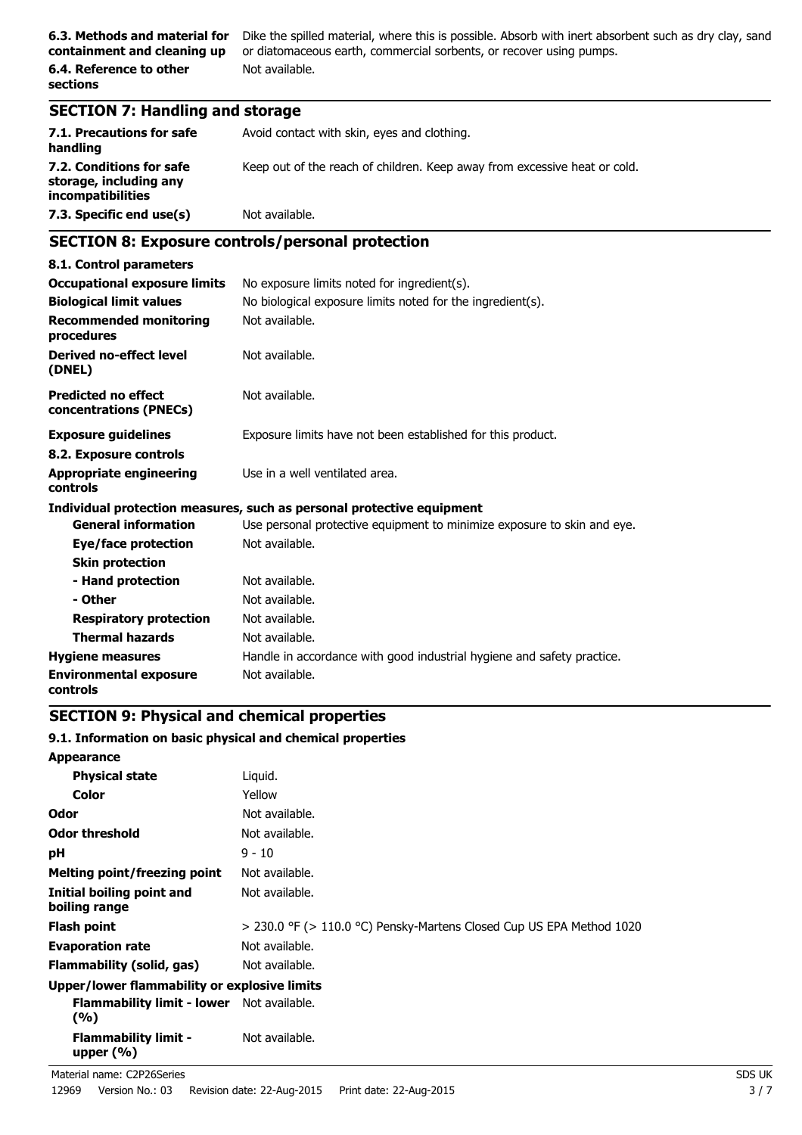**6.3. Methods and material for** Dike the spilled material, where this is possible. Absorb with inert absorbent such as dry clay, sand or diatomaceous earth, commercial sorbents, or recover using pumps. Not available.

## **SECTION 7: Handling and storage**

| 7.1. Precautions for safe<br>handling                                   | Avoid contact with skin, eyes and clothing.                               |
|-------------------------------------------------------------------------|---------------------------------------------------------------------------|
| 7.2. Conditions for safe<br>storage, including any<br>incompatibilities | Keep out of the reach of children. Keep away from excessive heat or cold. |
| 7.3. Specific end use(s)                                                | Not available.                                                            |

## **SECTION 8: Exposure controls/personal protection**

| 8.1. Control parameters                              |                                                                         |
|------------------------------------------------------|-------------------------------------------------------------------------|
| <b>Occupational exposure limits</b>                  | No exposure limits noted for ingredient(s).                             |
| <b>Biological limit values</b>                       | No biological exposure limits noted for the ingredient(s).              |
| <b>Recommended monitoring</b><br>procedures          | Not available.                                                          |
| <b>Derived no-effect level</b><br>(DNEL)             | Not available.                                                          |
| <b>Predicted no effect</b><br>concentrations (PNECs) | Not available.                                                          |
| <b>Exposure guidelines</b>                           | Exposure limits have not been established for this product.             |
| 8.2. Exposure controls                               |                                                                         |
| <b>Appropriate engineering</b><br><b>controls</b>    | Use in a well ventilated area.                                          |
|                                                      | Individual protection measures, such as personal protective equipment   |
| <b>General information</b>                           | Use personal protective equipment to minimize exposure to skin and eye. |
| Eye/face protection                                  | Not available.                                                          |
| <b>Skin protection</b>                               |                                                                         |
| - Hand protection                                    | Not available.                                                          |
| - Other                                              | Not available.                                                          |
| <b>Respiratory protection</b>                        | Not available.                                                          |
| <b>Thermal hazards</b>                               | Not available.                                                          |
| <b>Hygiene measures</b>                              | Handle in accordance with good industrial hygiene and safety practice.  |
| <b>Environmental exposure</b><br>controls            | Not available.                                                          |

## **SECTION 9: Physical and chemical properties**

### **9.1. Information on basic physical and chemical properties**

| <b>Appearance</b>                                       |                                                                           |
|---------------------------------------------------------|---------------------------------------------------------------------------|
| <b>Physical state</b>                                   | Liguid.                                                                   |
| Color                                                   | Yellow                                                                    |
| Odor                                                    | Not available.                                                            |
| Odor threshold                                          | Not available.                                                            |
| рH                                                      | $9 - 10$                                                                  |
| Melting point/freezing point                            | Not available.                                                            |
| Initial boiling point and<br>boiling range              | Not available.                                                            |
| <b>Flash point</b>                                      | $>$ 230.0 °F ( $>$ 110.0 °C) Pensky-Martens Closed Cup US EPA Method 1020 |
| <b>Evaporation rate</b>                                 | Not available.                                                            |
| Flammability (solid, gas)                               | Not available.                                                            |
| Upper/lower flammability or explosive limits            |                                                                           |
| <b>Flammability limit - lower</b> Not available.<br>(%) |                                                                           |
| <b>Flammability limit -</b><br>upper $(\%)$             | Not available.                                                            |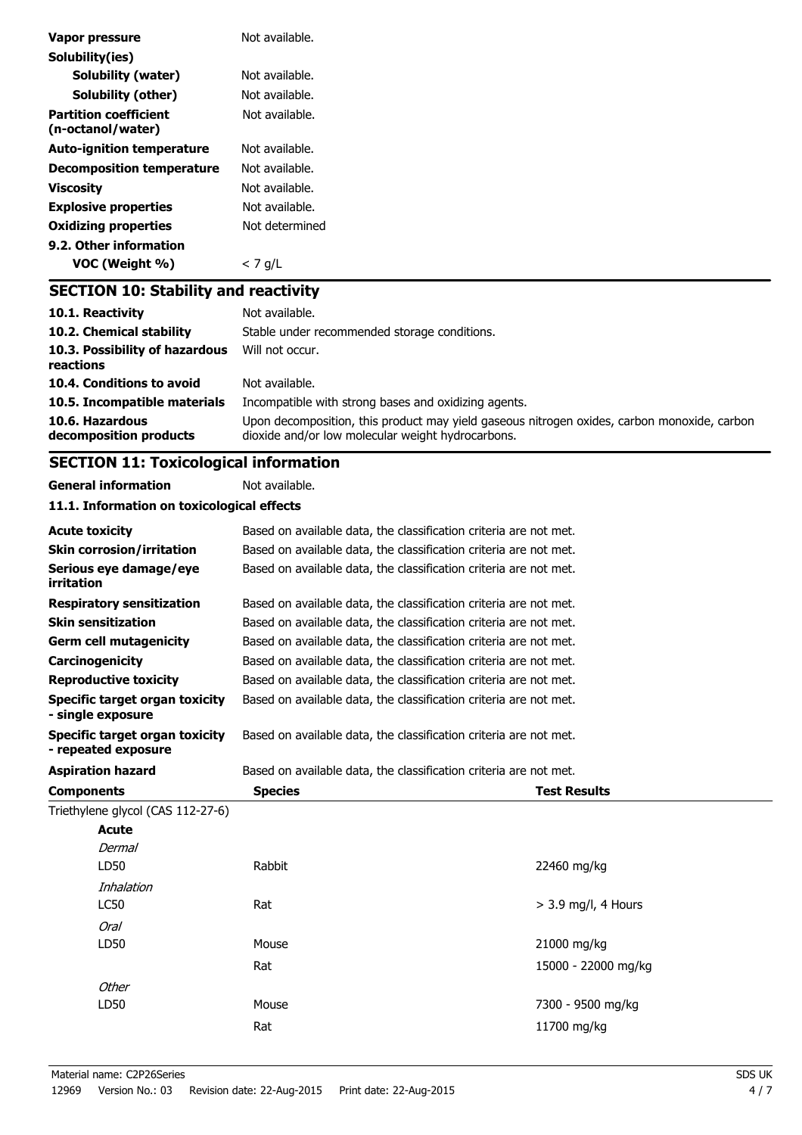| Vapor pressure                                    | Not available. |
|---------------------------------------------------|----------------|
| Solubility(ies)                                   |                |
| <b>Solubility (water)</b>                         | Not available. |
| <b>Solubility (other)</b>                         | Not available. |
| <b>Partition coefficient</b><br>(n-octanol/water) | Not available. |
| <b>Auto-ignition temperature</b>                  | Not available. |
| <b>Decomposition temperature</b>                  | Not available. |
| <b>Viscosity</b>                                  | Not available. |
| <b>Explosive properties</b>                       | Not available. |
| <b>Oxidizing properties</b>                       | Not determined |
| 9.2. Other information                            |                |
| VOC (Weight %)                                    | $<$ 7 g/L      |
| <b>SECTION 10: Stability and reactivity</b>       |                |

| 10.1. Reactivity<br>10.2. Chemical stability | Not available.<br>Stable under recommended storage conditions.                                                                                   |
|----------------------------------------------|--------------------------------------------------------------------------------------------------------------------------------------------------|
| 10.3. Possibility of hazardous<br>reactions  | Will not occur.                                                                                                                                  |
| 10.4. Conditions to avoid                    | Not available.                                                                                                                                   |
| 10.5. Incompatible materials                 | Incompatible with strong bases and oxidizing agents.                                                                                             |
| 10.6. Hazardous<br>decomposition products    | Upon decomposition, this product may yield gaseous nitrogen oxides, carbon monoxide, carbon<br>dioxide and/or low molecular weight hydrocarbons. |

## **SECTION 11: Toxicological information**

**General information** Not available.

**11.1. Information on toxicological effects**

| <b>Acute toxicity</b>                                 | Based on available data, the classification criteria are not met. |                       |
|-------------------------------------------------------|-------------------------------------------------------------------|-----------------------|
| <b>Skin corrosion/irritation</b>                      | Based on available data, the classification criteria are not met. |                       |
| Serious eye damage/eye<br>irritation                  | Based on available data, the classification criteria are not met. |                       |
| <b>Respiratory sensitization</b>                      | Based on available data, the classification criteria are not met. |                       |
| <b>Skin sensitization</b>                             | Based on available data, the classification criteria are not met. |                       |
| <b>Germ cell mutagenicity</b>                         | Based on available data, the classification criteria are not met. |                       |
| Carcinogenicity                                       | Based on available data, the classification criteria are not met. |                       |
| <b>Reproductive toxicity</b>                          | Based on available data, the classification criteria are not met. |                       |
| Specific target organ toxicity<br>- single exposure   | Based on available data, the classification criteria are not met. |                       |
| Specific target organ toxicity<br>- repeated exposure | Based on available data, the classification criteria are not met. |                       |
| <b>Aspiration hazard</b>                              | Based on available data, the classification criteria are not met. |                       |
| <b>Components</b>                                     | <b>Species</b>                                                    | <b>Test Results</b>   |
| Triethylene glycol (CAS 112-27-6)                     |                                                                   |                       |
| Acute                                                 |                                                                   |                       |
| Dermal                                                |                                                                   |                       |
|                                                       |                                                                   |                       |
| LD50                                                  | Rabbit                                                            | 22460 mg/kg           |
| Inhalation                                            |                                                                   |                       |
| <b>LC50</b>                                           | Rat                                                               | $>$ 3.9 mg/l, 4 Hours |
| Oral                                                  |                                                                   |                       |
| LD50                                                  | Mouse                                                             | 21000 mg/kg           |
|                                                       | Rat                                                               | 15000 - 22000 mg/kg   |
| Other                                                 |                                                                   |                       |
| LD50                                                  | Mouse                                                             | 7300 - 9500 mg/kg     |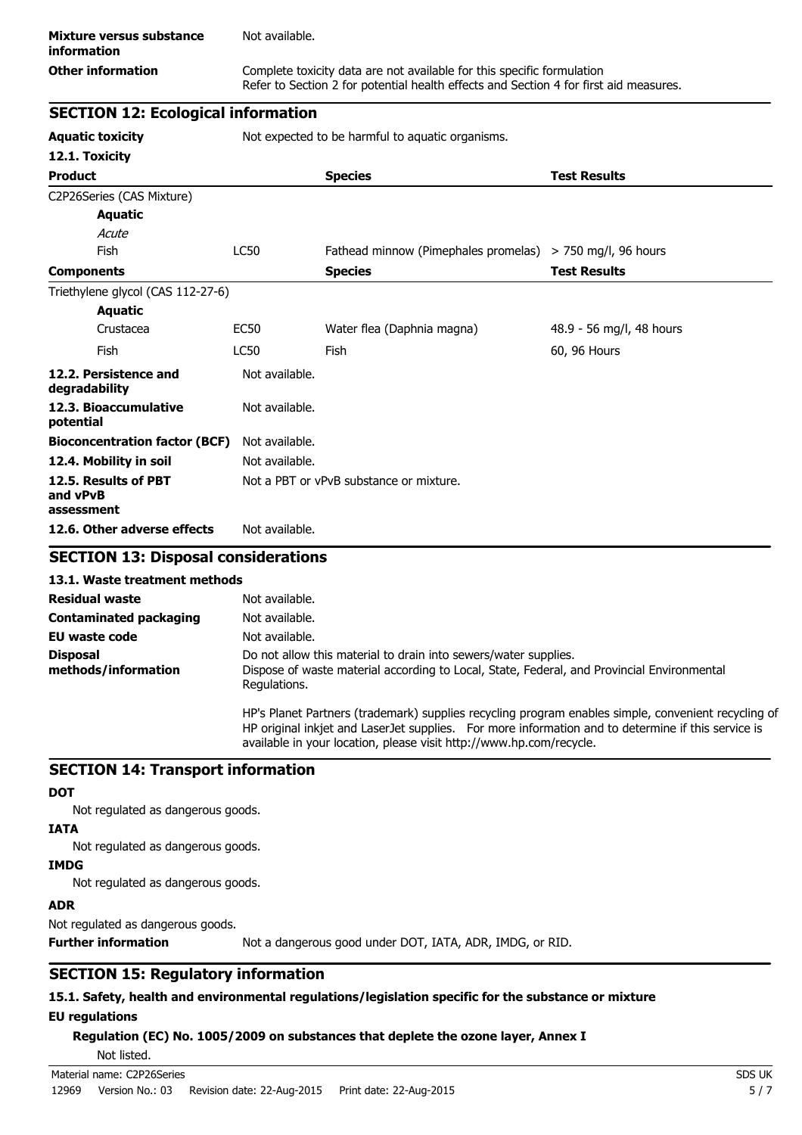Refer to Section 2 for potential health effects and Section 4 for first aid measures.

## **SECTION 12: Ecological information**

**Aquatic toxicity** Not expected to be harmful to aquatic organisms.

| 12.1. Toxicity                                 |                |                                                             |                          |
|------------------------------------------------|----------------|-------------------------------------------------------------|--------------------------|
| <b>Product</b>                                 |                | <b>Species</b>                                              | <b>Test Results</b>      |
| C2P26Series (CAS Mixture)                      |                |                                                             |                          |
| Aquatic                                        |                |                                                             |                          |
| Acute                                          |                |                                                             |                          |
| <b>Fish</b>                                    | LC50           | Fathead minnow (Pimephales promelas) $>$ 750 mg/l, 96 hours |                          |
| <b>Components</b>                              |                | <b>Species</b>                                              | <b>Test Results</b>      |
| Triethylene glycol (CAS 112-27-6)              |                |                                                             |                          |
| Aquatic                                        |                |                                                             |                          |
| Crustacea                                      | <b>EC50</b>    | Water flea (Daphnia magna)                                  | 48.9 - 56 mg/l, 48 hours |
| Fish                                           | LC50           | Fish                                                        | 60, 96 Hours             |
| 12.2. Persistence and<br>degradability         | Not available. |                                                             |                          |
| 12.3. Bioaccumulative<br>potential             | Not available. |                                                             |                          |
| <b>Bioconcentration factor (BCF)</b>           | Not available. |                                                             |                          |
| 12.4. Mobility in soil                         | Not available. |                                                             |                          |
| 12.5. Results of PBT<br>and vPvB<br>assessment |                | Not a PBT or vPvB substance or mixture.                     |                          |
| 12.6. Other adverse effects                    | Not available. |                                                             |                          |

## **SECTION 13: Disposal considerations**

### **13.1. Waste treatment methods**

| <b>Residual waste</b>                  | Not available.                                                                                                                                                                                                                                                                    |
|----------------------------------------|-----------------------------------------------------------------------------------------------------------------------------------------------------------------------------------------------------------------------------------------------------------------------------------|
| <b>Contaminated packaging</b>          | Not available.                                                                                                                                                                                                                                                                    |
| EU waste code                          | Not available.                                                                                                                                                                                                                                                                    |
| <b>Disposal</b><br>methods/information | Do not allow this material to drain into sewers/water supplies.<br>Dispose of waste material according to Local, State, Federal, and Provincial Environmental<br>Regulations.                                                                                                     |
|                                        | HP's Planet Partners (trademark) supplies recycling program enables simple, convenient recycling of<br>HP original inkjet and Laser Jet supplies. For more information and to determine if this service is<br>available in your location, please visit http://www.hp.com/recycle. |

## **SECTION 14: Transport information**

### **DOT**

Not regulated as dangerous goods.

### **IATA**

Not regulated as dangerous goods.

### **IMDG**

Not regulated as dangerous goods.

## **ADR**

Not regulated as dangerous goods.

**Further information** Not a dangerous good under DOT, IATA, ADR, IMDG, or RID.

## **SECTION 15: Regulatory information**

## **15.1. Safety, health and environmental regulations/legislation specific for the substance or mixture EU regulations**

**Regulation (EC) No. 1005/2009 on substances that deplete the ozone layer, Annex I**

Not listed.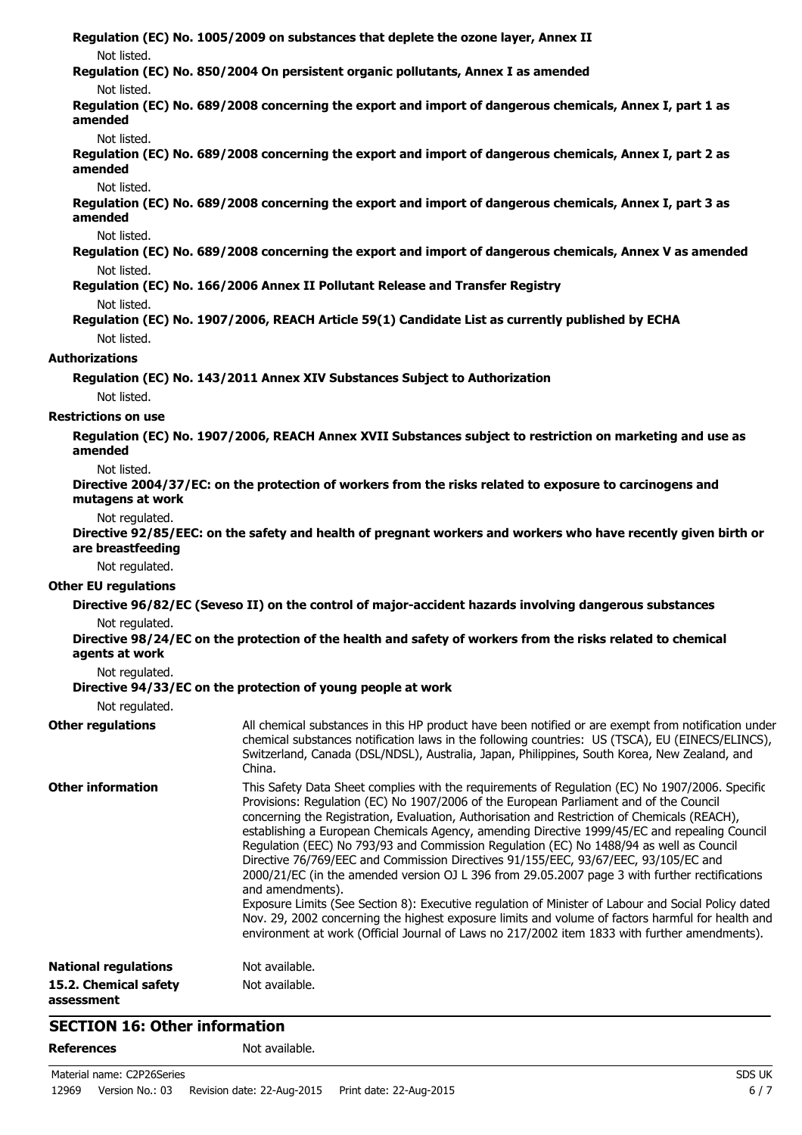**Regulation (EC) No. 1005/2009 on substances that deplete the ozone layer, Annex II** Not listed. **Regulation (EC) No. 850/2004 On persistent organic pollutants, Annex I as amended** Not listed. **Regulation (EC) No. 689/2008 concerning the export and import of dangerous chemicals, Annex I, part 1 as amended** Not listed. **Regulation (EC) No. 689/2008 concerning the export and import of dangerous chemicals, Annex I, part 2 as amended** Not listed. **Regulation (EC) No. 689/2008 concerning the export and import of dangerous chemicals, Annex I, part 3 as amended** Not listed. **Regulation (EC) No. 689/2008 concerning the export and import of dangerous chemicals, Annex V as amended** Not listed. **Regulation (EC) No. 166/2006 Annex II Pollutant Release and Transfer Registry** Not listed. **Regulation (EC) No. 1907/2006, REACH Article 59(1) Candidate List as currently published by ECHA** Not listed. **Authorizations Regulation (EC) No. 143/2011 Annex XIV Substances Subject to Authorization** Not listed. **Restrictions on use Regulation (EC) No. 1907/2006, REACH Annex XVII Substances subject to restriction on marketing and use as amended** Not listed. **Directive 2004/37/EC: on the protection of workers from the risks related to exposure to carcinogens and mutagens at work** Not regulated. **Directive 92/85/EEC: on the safety and health of pregnant workers and workers who have recently given birth or are breastfeeding** Not regulated. **Other EU regulations Directive 96/82/EC (Seveso II) on the control of major-accident hazards involving dangerous substances** Not regulated. **Directive 98/24/EC on the protection of the health and safety of workers from the risks related to chemical agents at work** Not regulated. **Directive 94/33/EC on the protection of young people at work** Not regulated. **Other regulations** All chemical substances in this HP product have been notified or are exempt from notification under chemical substances notification laws in the following countries: US (TSCA), EU (EINECS/ELINCS), Switzerland, Canada (DSL/NDSL), Australia, Japan, Philippines, South Korea, New Zealand, and China. **Other information** This Safety Data Sheet complies with the requirements of Regulation (EC) No 1907/2006. Specific Provisions: Regulation (EC) No 1907/2006 of the European Parliament and of the Council concerning the Registration, Evaluation, Authorisation and Restriction of Chemicals (REACH), establishing a European Chemicals Agency, amending Directive 1999/45/EC and repealing Council Regulation (EEC) No 793/93 and Commission Regulation (EC) No 1488/94 as well as Council Directive 76/769/EEC and Commission Directives 91/155/EEC, 93/67/EEC, 93/105/EC and 2000/21/EC (in the amended version OJ L 396 from 29.05.2007 page 3 with further rectifications and amendments). Exposure Limits (See Section 8): Executive regulation of Minister of Labour and Social Policy dated Nov. 29, 2002 concerning the highest exposure limits and volume of factors harmful for health and environment at work (Official Journal of Laws no 217/2002 item 1833 with further amendments). **National regulations** Not available. **15.2. Chemical safety assessment** Not available.

## **SECTION 16: Other information**

### **References** Not available.